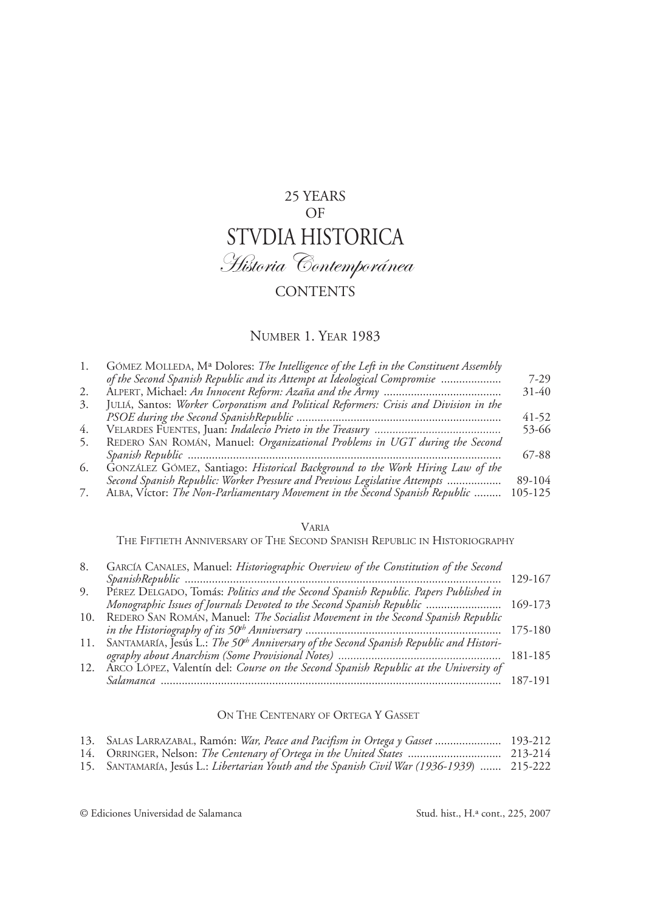# 25 years  $OF$ STVDIA HISTORICA Historia Contemporánea **CONTENTS**

### Number 1. Year 1983

| 1. | GÓMEZ MOLLEDA, Mª Dolores: The Intelligence of the Left in the Constituent Assembly   |           |
|----|---------------------------------------------------------------------------------------|-----------|
|    | of the Second Spanish Republic and its Attempt at Ideological Compromise              | $7 - 29$  |
| 2. |                                                                                       | $31 - 40$ |
| 3. | JULIA, Santos: Worker Corporatism and Political Reformers: Crisis and Division in the |           |
|    |                                                                                       | $41 - 52$ |
| 4. |                                                                                       | 53-66     |
| 5. | REDERO SAN ROMÁN, Manuel: Organizational Problems in UGT during the Second            |           |
|    |                                                                                       | 67-88     |
| 6. | GONZÁLEZ GÓMEZ, Santiago: Historical Background to the Work Hiring Law of the         |           |
|    | Second Spanish Republic: Worker Pressure and Previous Legislative Attempts            | 89-104    |
| 7. | ALBA, Victor: The Non-Parliamentary Movement in the Second Spanish Republic           | 105-125   |

#### Varia

The Fiftieth Anniversary of The Second Spanish Republic in Historiography

| 8.  | GARCÍA CANALES, Manuel: Historiographic Overview of the Constitution of the Second                     |         |
|-----|--------------------------------------------------------------------------------------------------------|---------|
|     |                                                                                                        | 129-167 |
| 9.  | PÉREZ DÉLGADO, Tomás: Politics and the Second Spanish Republic. Papers Published in                    |         |
|     | Monographic Issues of Journals Devoted to the Second Spanish Republic  169-173                         |         |
| 10. | REDERO SAN ROMÁN, Manuel: The Socialist Movement in the Second Spanish Republic                        |         |
|     |                                                                                                        |         |
|     | 11. SANTAMARÍA, Jesús L.: The 50 <sup>th</sup> Anniversary of the Second Spanish Republic and Histori- |         |
|     |                                                                                                        |         |
|     | 12. ARCO LÓPEZ, Valentín del: Course on the Second Spanish Republic at the University of               |         |
|     |                                                                                                        | 187-191 |

### ON THE CENTENARY OF ORTEGA Y GASSET

|  |  |  | 13. SALAS LARRAZABAL, Ramón: War, Peace and Pacifism in Ortega y Gasset  193-212 |  |
|--|--|--|----------------------------------------------------------------------------------|--|
|  |  |  |                                                                                  |  |
|  |  |  |                                                                                  |  |

|--|--|--|--|--|--|--|--|--|

15. Santamaría, Jesús L.: *Libertarian Youth and the Spanish Civil War (1936-1939*) ....... 215-222

© Ediciones Universidad de Salamanca

Stud. hist., H.ª cont., 225, 2007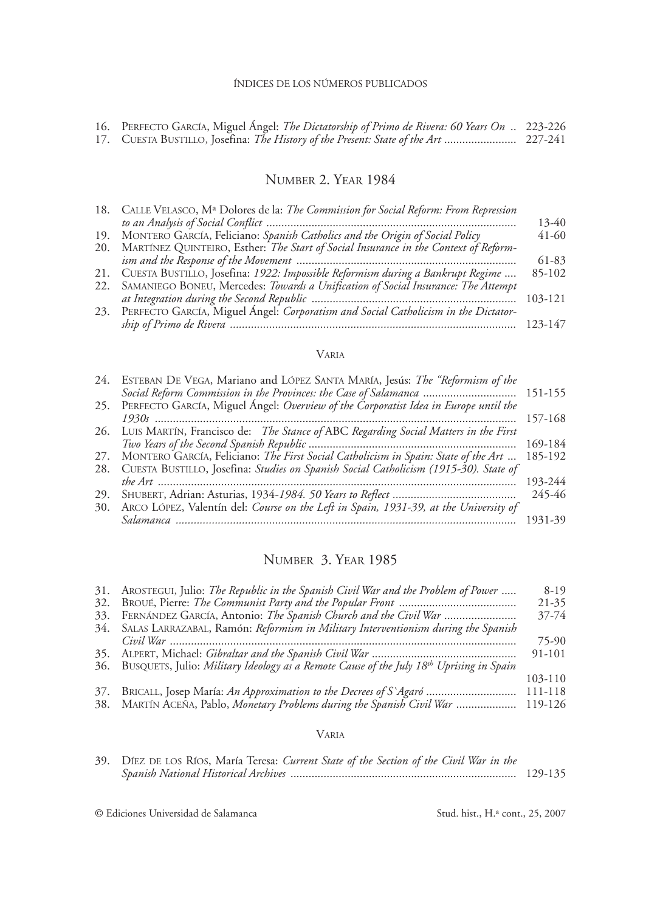| 16. PERFECTO GARCÍA, Miguel Ángel: The Dictatorship of Primo de Rivera: 60 Years On  223-226 |  |
|----------------------------------------------------------------------------------------------|--|
|                                                                                              |  |

### Number 2. Year 1984

| 18. CALLE VELASCO, M <sup>a</sup> Dolores de la: <i>The Commission for Social Reform: From Repression</i> |         |
|-----------------------------------------------------------------------------------------------------------|---------|
|                                                                                                           | $13-40$ |
| 19. MONTERO GARCÍA, Feliciano: Spanish Catholics and the Origin of Social Policy                          | $41-60$ |
| 20. MARTÍNEZ QUINTEIRO, Esther: The Start of Social Insurance in the Context of Reform-                   |         |
|                                                                                                           | 61-83   |
| 21. CUESTA BUSTILLO, Josefina: 1922: Impossible Reformism during a Bankrupt Regime                        | 85-102  |
| 22. SAMANIEGO BONEU, Mercedes: Towards a Unification of Social Insurance: The Attempt                     |         |
|                                                                                                           | 103-121 |
| 23. PERFECTO GARCÍA, Miguel Ángel: Corporatism and Social Catholicism in the Dictator-                    |         |
|                                                                                                           | 123-147 |
|                                                                                                           |         |

### Varia

| 24. | ESTEBAN DE VEGA, Mariano and LÓPEZ SANTA MARÍA, Jesús: The "Reformism of the                |         |
|-----|---------------------------------------------------------------------------------------------|---------|
|     | Social Reform Commission in the Provinces: the Case of Salamanca  151-155                   |         |
| 25. | PERFECTO GARCÍA, Miguel Ángel: Overview of the Corporatist Idea in Europe until the         |         |
|     |                                                                                             | 157-168 |
|     | 26. LUIS MARTÍN, Francisco de: The Stance of ABC Regarding Social Matters in the First      |         |
|     |                                                                                             | 169-184 |
| 27. | MONTERO GARCÍA, Feliciano: The First Social Catholicism in Spain: State of the Art  185-192 |         |
| 28. | CUESTA BUSTILLO, Josefina: Studies on Spanish Social Catholicism (1915-30). State of        |         |
|     |                                                                                             | 193-244 |
| 29. |                                                                                             | 245-46  |
| 30. | ARCO LÓPEZ, Valentín del: Course on the Left in Spain, 1931-39, at the University of        |         |
|     |                                                                                             | 1931-39 |

# Number 3. Year 1985

|     | 31. AROSTEGUI, Julio: The Republic in the Spanish Civil War and the Problem of Power        | $8-19$    |
|-----|---------------------------------------------------------------------------------------------|-----------|
| 32. |                                                                                             | $21 - 35$ |
| 33. | FERNÁNDEZ GARCÍA, Antonio: The Spanish Church and the Civil War                             | 37-74     |
|     | 34. SALAS LARRAZABAL, Ramón: Reformism in Military Interventionism during the Spanish       |           |
|     |                                                                                             | 75-90     |
|     |                                                                                             | 91-101    |
|     | 36. BUSQUETS, Julio: Military Ideology as a Remote Cause of the July 18th Uprising in Spain |           |
|     |                                                                                             | 103-110   |
| 37. | BRICALL, Josep María: An Approximation to the Decrees of S'Agaró                            | 111-118   |
|     | 38. MARTÍN ACEÑA, Pablo, Monetary Problems during the Spanish Civil War                     | 119-126   |
|     |                                                                                             |           |

### Varia

| 39. DIEZ DE LOS RIOS, María Teresa: Current State of the Section of the Civil War in the |         |
|------------------------------------------------------------------------------------------|---------|
|                                                                                          | 129-135 |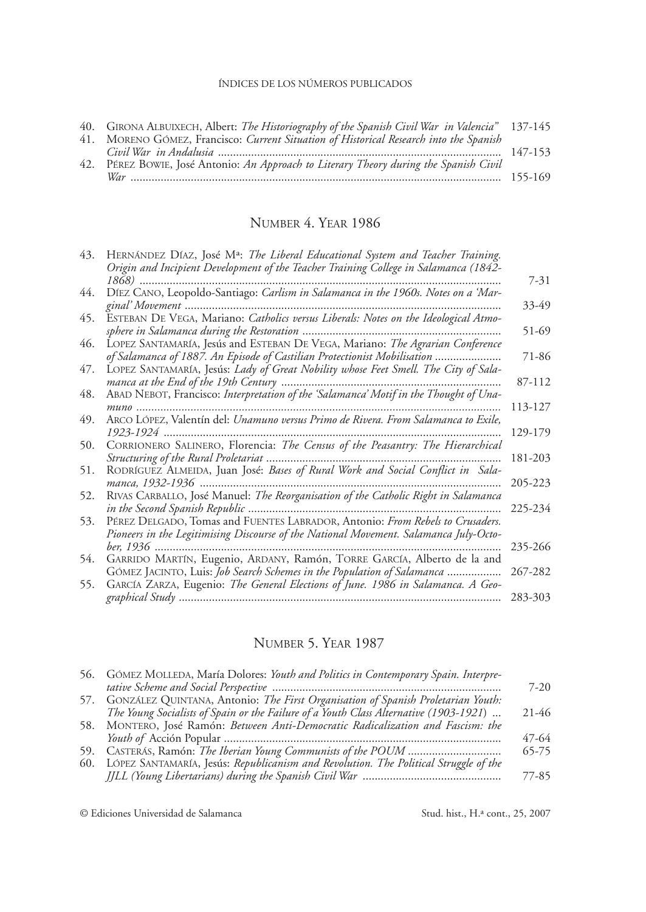| 40. GIRONA ALBUIXECH, Albert: The Historiography of the Spanish Civil War in Valencia" 137-145 |  |
|------------------------------------------------------------------------------------------------|--|
| 41. MORENO GÓMEZ, Francisco: Current Situation of Historical Research into the Spanish         |  |
| 42. PEREZ BOWIE, José Antonio: An Approach to Literary Theory during the Spanish Civil         |  |

# Number 4. Year 1986

| 43. | HERNÁNDEZ DÍAZ, José Mª: The Liberal Educational System and Teacher Training.<br>Origin and Incipient Development of the Teacher Training College in Salamanca (1842-  |         |
|-----|------------------------------------------------------------------------------------------------------------------------------------------------------------------------|---------|
|     | 1868)                                                                                                                                                                  | 7-31    |
| 44. | DÍEZ CANO, Leopoldo-Santiago: Carlism in Salamanca in the 1960s. Notes on a 'Mar-<br>ginal' Movement                                                                   | 33-49   |
| 45. | ESTEBAN DE VEGA, Mariano: Catholics versus Liberals: Notes on the Ideological Atmo-                                                                                    | 51-69   |
| 46. | LOPEZ SANTAMARÍA, Jesús and ESTEBAN DE VEGA, Mariano: The Agrarian Conference                                                                                          |         |
| 47. | of Salamanca of 1887. An Episode of Castilian Protectionist Mobilisation<br>LOPEZ SANTAMARÍA, Jesús: Lady of Great Nobility whose Feet Smell. The City of Sala-        | 71-86   |
|     | manca at the End of the 19th Century                                                                                                                                   | 87-112  |
| 48. | ABAD NEBOT, Francisco: Interpretation of the 'Salamanca' Motif in the Thought of Una-                                                                                  |         |
|     | $muno$                                                                                                                                                                 | 113-127 |
| 49. | ARCO LÓPEZ, Valentín del: Unamuno versus Primo de Rivera. From Salamanca to Exile,                                                                                     | 129-179 |
| 50. | CORRIONERO SALINERO, Florencia: The Census of the Peasantry: The Hierarchical<br>Structuring of the Rural Proletariat                                                  | 181-203 |
| 51. | RODRÍGUEZ ALMEIDA, Juan José: Bases of Rural Work and Social Conflict in Sala-                                                                                         |         |
| 52. | manca, 1932-1936<br>RIVAS CARBALLO, José Manuel: The Reorganisation of the Catholic Right in Salamanca                                                                 | 205-223 |
|     |                                                                                                                                                                        | 225-234 |
| 53. | PÉREZ DELGADO, Tomas and FUENTES LABRADOR, Antonio: From Rebels to Crusaders.<br>Pioneers in the Legitimising Discourse of the National Movement. Salamanca July-Octo- |         |
|     | ber. 1936                                                                                                                                                              | 235-266 |
| 54. | GARRIDO MARTÍN, Eugenio, ARDANY, Ramón, TORRE GARCÍA, Alberto de la and                                                                                                |         |
|     | GÓMEZ JACINTO, Luis: Job Search Schemes in the Population of Salamanca                                                                                                 | 267-282 |
| 55. | GARCIA ZARZA, Eugenio: The General Elections of June. 1986 in Salamanca. A Geo-                                                                                        | 283-303 |

# Number 5. Year 1987

| 56. GÓMEZ MOLLEDA, María Dolores: Youth and Politics in Contemporary Spain. Interpre-    |           |
|------------------------------------------------------------------------------------------|-----------|
|                                                                                          | $7 - 20$  |
| 57. GONZÁLEZ QUINTANA, Antonio: The First Organisation of Spanish Proletarian Youth:     |           |
| The Young Socialists of Spain or the Failure of a Youth Class Alternative (1903-1921)    | $21 - 46$ |
| 58. MONTERO, José Ramón: Between Anti-Democratic Radicalization and Fascism: the         |           |
|                                                                                          | 47-64     |
|                                                                                          | 65-75     |
| 60. LÓPEZ SANTAMARÍA, Jesús: Republicanism and Revolution. The Political Struggle of the |           |
|                                                                                          | 77-85     |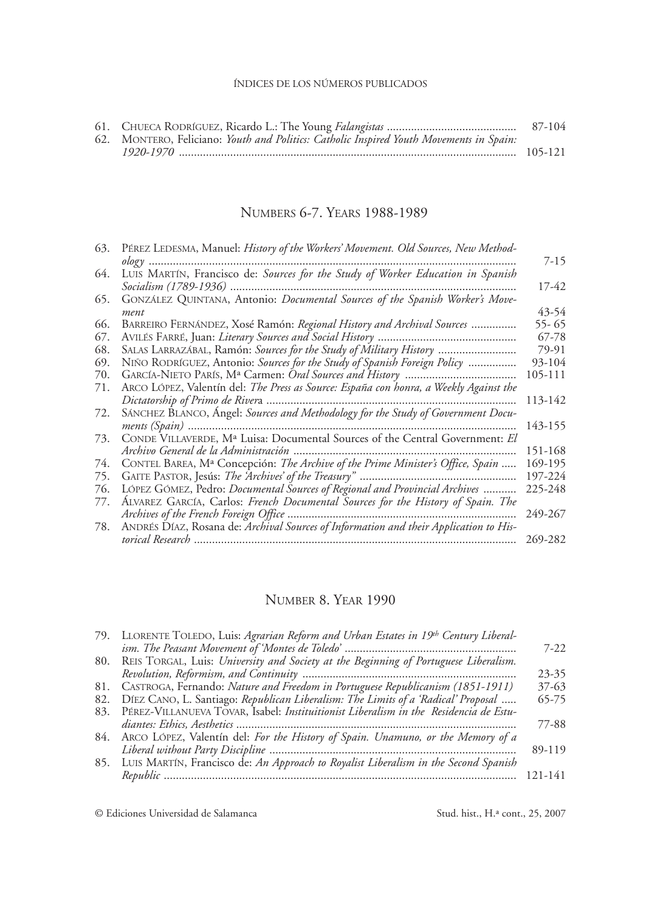|                                                                                         | 87-104 |
|-----------------------------------------------------------------------------------------|--------|
| 62. MONTERO, Feliciano: Youth and Politics: Catholic Inspired Youth Movements in Spain: |        |
|                                                                                         |        |

# Numbers 6-7. Years 1988-1989

|                                                                                            | 7-15                                                                                                                                                                                                                                                                                                                                                                                                                                                                                                                                                                                 |
|--------------------------------------------------------------------------------------------|--------------------------------------------------------------------------------------------------------------------------------------------------------------------------------------------------------------------------------------------------------------------------------------------------------------------------------------------------------------------------------------------------------------------------------------------------------------------------------------------------------------------------------------------------------------------------------------|
| LUIS MARTÍN, Francisco de: Sources for the Study of Worker Education in Spanish            |                                                                                                                                                                                                                                                                                                                                                                                                                                                                                                                                                                                      |
| Socialism (1789-1936)                                                                      | 17-42                                                                                                                                                                                                                                                                                                                                                                                                                                                                                                                                                                                |
| GONZÁLEZ QUINTANA, Antonio: Documental Sources of the Spanish Worker's Move-               |                                                                                                                                                                                                                                                                                                                                                                                                                                                                                                                                                                                      |
|                                                                                            | 43-54                                                                                                                                                                                                                                                                                                                                                                                                                                                                                                                                                                                |
|                                                                                            | 55-65                                                                                                                                                                                                                                                                                                                                                                                                                                                                                                                                                                                |
|                                                                                            | 67-78                                                                                                                                                                                                                                                                                                                                                                                                                                                                                                                                                                                |
| SALAS LARRAZÁBAL, Ramón: <i>Sources for the Study of Military History</i>                  | 79-91                                                                                                                                                                                                                                                                                                                                                                                                                                                                                                                                                                                |
| NIÑO RODRÍGUEZ, Antonio: Sources for the Study of Spanish Foreign Policy                   | 93-104                                                                                                                                                                                                                                                                                                                                                                                                                                                                                                                                                                               |
|                                                                                            | 105-111                                                                                                                                                                                                                                                                                                                                                                                                                                                                                                                                                                              |
|                                                                                            |                                                                                                                                                                                                                                                                                                                                                                                                                                                                                                                                                                                      |
|                                                                                            | 113-142                                                                                                                                                                                                                                                                                                                                                                                                                                                                                                                                                                              |
| SANCHEZ BLANCO, Angel: Sources and Methodology for the Study of Government Docu-           |                                                                                                                                                                                                                                                                                                                                                                                                                                                                                                                                                                                      |
|                                                                                            | 143-155                                                                                                                                                                                                                                                                                                                                                                                                                                                                                                                                                                              |
|                                                                                            |                                                                                                                                                                                                                                                                                                                                                                                                                                                                                                                                                                                      |
| Archivo General de la Administración                                                       | 151-168                                                                                                                                                                                                                                                                                                                                                                                                                                                                                                                                                                              |
| CONTEL BAREA, M <sup>a</sup> Concepción: The Archive of the Prime Minister's Office, Spain | 169-195                                                                                                                                                                                                                                                                                                                                                                                                                                                                                                                                                                              |
| GAITE PASTOR, Jesús: The <i>Archives' of the Treasury</i> "                                | 197-224                                                                                                                                                                                                                                                                                                                                                                                                                                                                                                                                                                              |
|                                                                                            | 225-248                                                                                                                                                                                                                                                                                                                                                                                                                                                                                                                                                                              |
|                                                                                            |                                                                                                                                                                                                                                                                                                                                                                                                                                                                                                                                                                                      |
|                                                                                            | 249-267                                                                                                                                                                                                                                                                                                                                                                                                                                                                                                                                                                              |
| ANDRÉS DÍAZ, Rosana de: Archival Sources of Information and their Application to His-      |                                                                                                                                                                                                                                                                                                                                                                                                                                                                                                                                                                                      |
|                                                                                            | 269-282                                                                                                                                                                                                                                                                                                                                                                                                                                                                                                                                                                              |
|                                                                                            | PÉREZ LEDESMA, Manuel: History of the Workers' Movement. Old Sources, New Method-<br>ment<br>BARREIRO FERNÁNDEZ, Xosé Ramón: Regional History and Archival Sources<br>ARCO LÓPEZ, Valentín del: The Press as Source: España con honra, a Weekly Against the<br>$ments (Spain)$<br>CONDE VILLAVERDE, M <sup>a</sup> Luisa: Documental Sources of the Central Government: El<br>LÓPEZ GÓMEZ, Pedro: Documental Sources of Regional and Provincial Archives<br>ALVAREZ GARCÍA, Carlos: French Documental Sources for the History of Spain. The<br>Archives of the French Foreign Office |

# Number 8. Year 1990

|     | 79. LLORENTE TOLEDO, Luis: Agrarian Reform and Urban Estates in 19th Century Liberal- |           |
|-----|---------------------------------------------------------------------------------------|-----------|
|     |                                                                                       | $7 - 22$  |
| 80. | REIS TORGAL, Luis: University and Society at the Beginning of Portuguese Liberalism.  |           |
|     |                                                                                       | $23 - 35$ |
| 81. | CASTROGA, Fernando: Nature and Freedom in Portuguese Republicanism (1851-1911)        | $37 - 63$ |
| 82. | DÍEZ CANO, L. Santiago: Republican Liberalism: The Limits of a 'Radical' Proposal     | $65 - 75$ |
| 83. | PÉREZ-VILLANUEVA TOVAR, Isabel: Instituitionist Liberalism in the Residencia de Estu- |           |
|     |                                                                                       | 77-88     |
| 84. | ARCO LÓPEZ, Valentín del: For the History of Spain. Unamuno, or the Memory of a       |           |
|     |                                                                                       | 89-119    |
| 85. | LUIS MARTÍN, Francisco de: An Approach to Royalist Liberalism in the Second Spanish   |           |
|     |                                                                                       | 121-141   |
|     |                                                                                       |           |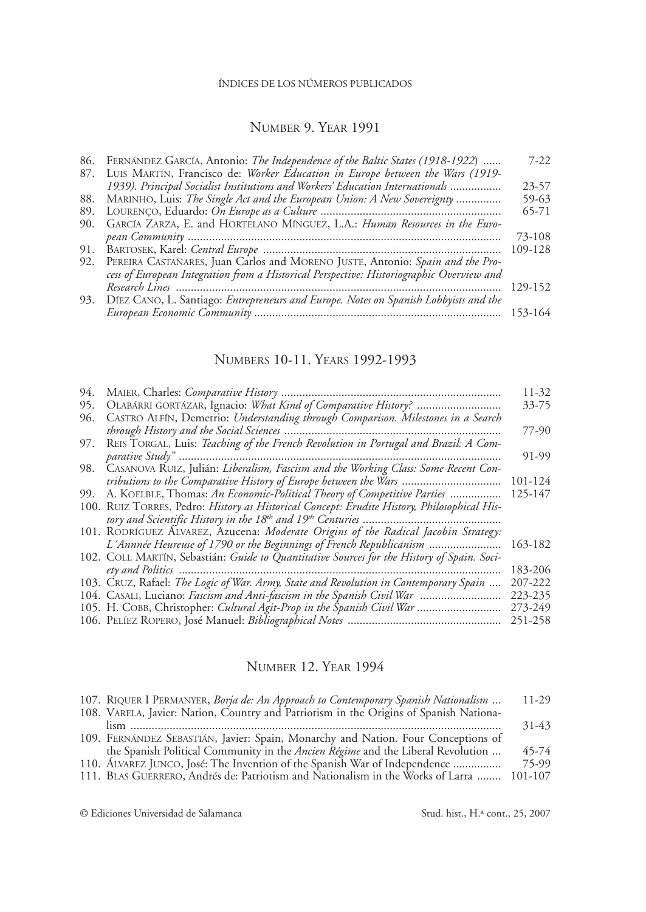# Number 9. Year 1991

|     | 86. FERNÁNDEZ GARCÍA, Antonio: The Independence of the Baltic States (1918-1922)         | $7 - 22$  |
|-----|------------------------------------------------------------------------------------------|-----------|
|     | LUIS MARTÍN, Francisco de: Worker Education in Europe between the Wars (1919-            |           |
|     | 1939). Principal Socialist Institutions and Workers' Education Internationals            | $23 - 57$ |
|     | 88. MARINHO, Luis: The Single Act and the European Union: A New Sovereignty              | 59-63     |
| 89. |                                                                                          | 65-71     |
| 90. | GARCÍA ZARZA, E. and HORTELANO MÍNGUEZ, L.A.: Human Resources in the Euro-               |           |
|     |                                                                                          | 73-108    |
| 91. |                                                                                          | 109-128   |
|     | 92. PEREIRA CASTAÑARES, Juan Carlos and MORENO JUSTE, Antonio: Spain and the Pro-        |           |
|     | cess of European Integration from a Historical Perspective: Historiographic Overview and |           |
|     |                                                                                          | 129-152   |
| 93. | DÍEZ CANO, L. Santiago: Entrepreneurs and Europe. Notes on Spanish Lobbyists and the     |           |
|     |                                                                                          | 153-164   |
|     |                                                                                          |           |

# Numbers 10-11. Years 1992-1993

| 94. |                                                                                             | 11-32   |
|-----|---------------------------------------------------------------------------------------------|---------|
| 95. |                                                                                             | 33-75   |
| 96. | CASTRO ALFÍN, Demetrio: Understanding through Comparison. Milestones in a Search            |         |
|     |                                                                                             | 77-90   |
| 97. | REIS TORGAL, Luis: Teaching of the French Revolution in Portugal and Brazil: A Com-         |         |
|     |                                                                                             | 91-99   |
| 98. | CASANOVA RUIZ, Julián: Liberalism, Fascism and the Working Class: Some Recent Con-          |         |
|     | tributions to the Comparative History of Europe between the Wars                            | 101-124 |
| 99. | A. KOELBLE, Thomas: An Economic-Political Theory of Competitive Parties                     | 125-147 |
|     | 100. RUIZ TORRES, Pedro: History as Historical Concept: Erudite History, Philosophical His- |         |
|     |                                                                                             |         |
|     | 101. RODRÍGUEZ ÁLVAREZ, Azucena: Moderate Origins of the Radical Jacobin Strategy:          |         |
|     | L'Annnée Heureuse of 1790 or the Beginnings of French Republicanism                         | 163-182 |
|     | 102. COLL MARTÍN, Sebastián: Guide to Quantitative Sources for the History of Spain. Soci-  |         |
|     |                                                                                             | 183-206 |
|     | 103. CRUZ, Rafael: The Logic of War. Army, State and Revolution in Contemporary Spain       | 207-222 |
|     | 104. CASALI, Luciano: <i>Fascism and Anti-fascism in the Spanish Civil War</i>              | 223-235 |
|     | 105. H. COBB, Christopher: <i>Cultural Agit-Prop in the Spanish Civil War</i>               | 273-249 |
|     |                                                                                             | 251-258 |
|     |                                                                                             |         |

# Number 12. Year 1994

| 107. RIQUER I PERMANYER, Borja de: An Approach to Contemporary Spanish Nationalism     | 11-29     |
|----------------------------------------------------------------------------------------|-----------|
| 108. VARELA, Javier: Nation, Country and Patriotism in the Origins of Spanish Nationa- |           |
|                                                                                        | $31 - 43$ |
| 109. FERNÁNDEZ SEBASTIÁN, Javier: Spain, Monarchy and Nation. Four Conceptions of      |           |
| the Spanish Political Community in the <i>Ancien Régime</i> and the Liberal Revolution | 45-74     |
| 110. ÁLVAREZ JUNCO, José: The Invention of the Spanish War of Independence             | 75-99     |
| 111. BLAS GUERRERO, Andrés de: Patriotism and Nationalism in the Works of Larra        | 101-107   |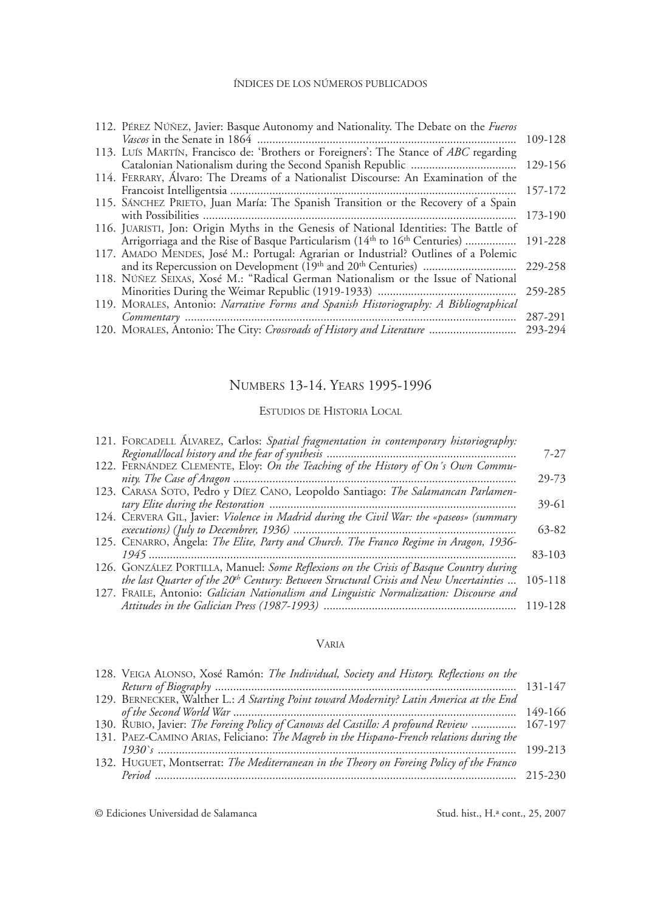| 112. PÉREZ NÚÑEZ, Javier: Basque Autonomy and Nationality. The Debate on the Fueros   |         |
|---------------------------------------------------------------------------------------|---------|
|                                                                                       | 109-128 |
| 113. LUIS MARTIN, Francisco de: 'Brothers or Foreigners': The Stance of ABC regarding |         |
|                                                                                       | 129-156 |
| 114. FERRARY, Álvaro: The Dreams of a Nationalist Discourse: An Examination of the    |         |
|                                                                                       | 157-172 |
| 115. SANCHEZ PRIETO, Juan María: The Spanish Transition or the Recovery of a Spain    |         |
|                                                                                       | 173-190 |
| 116. JUARISTI, Jon: Origin Myths in the Genesis of National Identities: The Battle of |         |
| Arrigorriaga and the Rise of Basque Particularism (14th to 16th Centuries)            | 191-228 |
| 117. AMADO MENDES, José M.: Portugal: Agrarian or Industrial? Outlines of a Polemic   |         |
|                                                                                       | 229-258 |
| 118. NÚÑEZ SEIXAS, Xosé M.: "Radical German Nationalism or the Issue of National      |         |
|                                                                                       | 259-285 |
| 119. MORALES, Antonio: Narrative Forms and Spanish Historiography: A Bibliographical  |         |
|                                                                                       | 287-291 |
| 120. MORALES, Antonio: The City: Crossroads of History and Literature                 | 293-294 |
|                                                                                       |         |

# Numbers 13-14. Years 1995-1996

#### Estudios de Historia Local

| 121. FORCADELL ÁLVAREZ, Carlos: Spatial fragmentation in contemporary historiography:             | $7-27$  |
|---------------------------------------------------------------------------------------------------|---------|
| 122. FERNANDEZ CLEMENTE, Eloy: On the Teaching of the History of On's Own Commu-                  |         |
|                                                                                                   | 29-73   |
| 123. CARASA SOTO, Pedro y DÍEZ CANO, Leopoldo Santiago: The Salamancan Parlamen-                  |         |
|                                                                                                   | 39-61   |
| 124. CERVERA GIL, Javier: Violence in Madrid during the Civil War: the «paseos» (summary          | 63-82   |
| 125. CENARRO, Ángela: The Elite, Party and Church. The Franco Regime in Aragon, 1936-             |         |
|                                                                                                   | 83-103  |
| 126. GONZÁLEZ PORTILLA, Manuel: Some Reflexions on the Crisis of Basque Country during            |         |
| the last Quarter of the 20 <sup>th</sup> Century: Between Structural Crisis and New Uncertainties | 105-118 |
| 127. FRAILE, Antonio: Galician Nationalism and Linguistic Normalization: Discourse and            | 119-128 |

### Varia

| 131-147                                                                                    |
|--------------------------------------------------------------------------------------------|
|                                                                                            |
|                                                                                            |
| 149-166                                                                                    |
| 130. RUBIO, Javier: The Foreing Policy of Canovas del Castillo: A profound Review  167-197 |
|                                                                                            |
| 199-213                                                                                    |
|                                                                                            |
|                                                                                            |
|                                                                                            |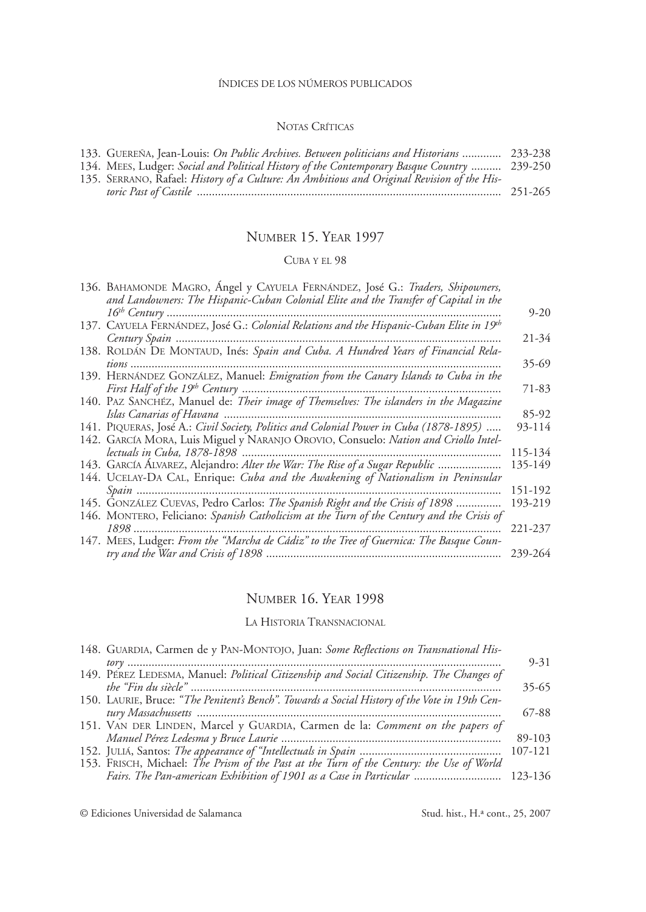### Notas Críticas

| 133. GUEREÑA, Jean-Louis: On Public Archives. Between politicians and Historians  233-238   |  |
|---------------------------------------------------------------------------------------------|--|
| 134. MEES, Ludger: Social and Political History of the Contemporary Basque Country  239-250 |  |
| 135. SERRANO, Rafael: History of a Culture: An Ambitious and Original Revision of the His-  |  |
|                                                                                             |  |

# Number 15. Year 1997

### Cuba y el 98

| 136. BAHAMONDE MAGRO, Angel y CAYUELA FERNÁNDEZ, José G.: Traders, Shipowners,<br>and Landowners: The Hispanic-Cuban Colonial Elite and the Transfer of Capital in the |          |
|------------------------------------------------------------------------------------------------------------------------------------------------------------------------|----------|
|                                                                                                                                                                        | $9 - 20$ |
|                                                                                                                                                                        |          |
| Century Spain                                                                                                                                                          | 21-34    |
| 138. ROLDÁN DE MONTAUD, Inés: Spain and Cuba. A Hundred Years of Financial Rela-                                                                                       |          |
|                                                                                                                                                                        | 35-69    |
| 139. HERNÁNDEZ GONZÁLEZ, Manuel: Emigration from the Canary Islands to Cuba in the                                                                                     |          |
| First Half of the 19 <sup>th</sup> Century                                                                                                                             | 71-83    |
| 140. PAZ SANCHÉZ, Manuel de: Their image of Themselves: The islanders in the Magazine                                                                                  |          |
|                                                                                                                                                                        | 85-92    |
| 141. PIQUERAS, José A.: Civil Society, Politics and Colonial Power in Cuba (1878-1895)                                                                                 | 93-114   |
| 142. GARCÍA MORA, Luis Miguel y NARANJO OROVIO, Consuelo: Nation and Criollo Intel-                                                                                    |          |
|                                                                                                                                                                        | 115-134  |
| 143. GARCÍA ÁLVAREZ, Alejandro: Alter the War: The Rise of a Sugar Republic                                                                                            | 135-149  |
| 144. UCELAY-DA CAL, Enrique: Cuba and the Awakening of Nationalism in Peninsular                                                                                       |          |
|                                                                                                                                                                        | 151-192  |
| 145. GONZÁLEZ CUEVAS, Pedro Carlos: The Spanish Right and the Crisis of 1898                                                                                           | 193-219  |
| 146. MONTERO, Feliciano: Spanish Catholicism at the Turn of the Century and the Crisis of                                                                              |          |
| 1898                                                                                                                                                                   | 221-237  |
| 147. MEES, Ludger: From the "Marcha de Cádiz" to the Tree of Guernica: The Basque Coun-                                                                                |          |
|                                                                                                                                                                        | 239-264  |
|                                                                                                                                                                        |          |

### Number 16. Year 1998

### La Historia Transnacional

| 148. GUARDIA, Carmen de y PAN-MONTOJO, Juan: Some Reflections on Transnational His-           |          |
|-----------------------------------------------------------------------------------------------|----------|
|                                                                                               | $9 - 31$ |
| 149. PÉREZ LEDESMA, Manuel: Political Citizenship and Social Citizenship. The Changes of      |          |
|                                                                                               | $35-65$  |
| 150. LAURIE, Bruce: "The Penitent's Bench". Towards a Social History of the Vote in 19th Cen- |          |
|                                                                                               | 67-88    |
| 151. VAN DER LINDEN, Marcel y GUARDIA, Carmen de la: Comment on the papers of                 |          |
|                                                                                               | 89-103   |
|                                                                                               | 107-121  |
| 153. FRISCH, Michael: The Prism of the Past at the Turn of the Century: the Use of World      |          |
| Fairs. The Pan-american Exhibition of 1901 as a Case in Particular  123-136                   |          |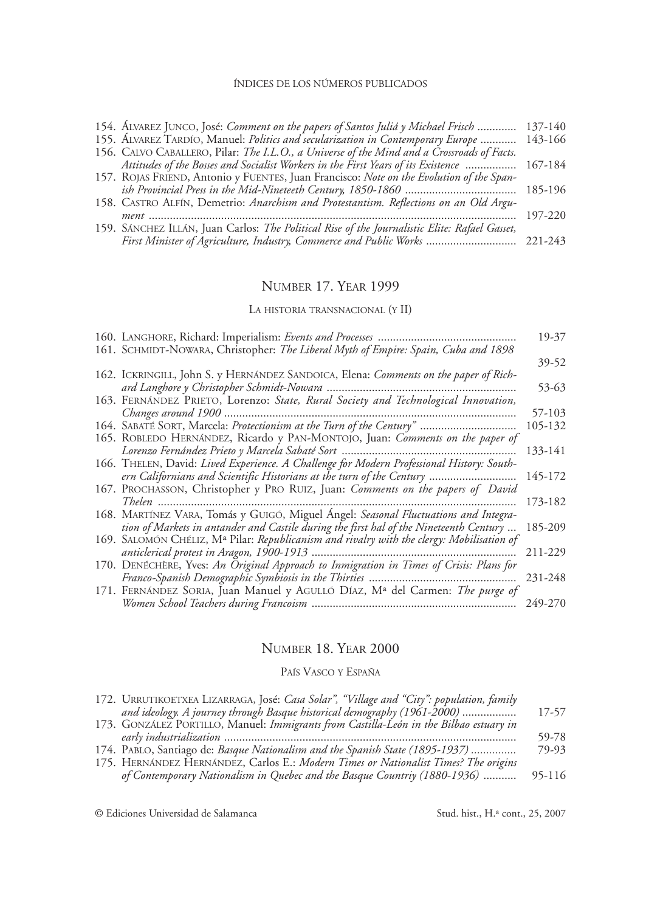|              |             |  | 154. ALVAREZ JUNCO, José: Comment on the papers of Santos Juliá y Michael Frisch | 137-140 |
|--------------|-------------|--|----------------------------------------------------------------------------------|---------|
| $\mathbf{1}$ | $1 \cdot 1$ |  |                                                                                  |         |

|  |  |  | 155. ALVAREZ TARDIO, Manuel: <i>Politics and secularization in Contemporary Europe</i> 143-166 |  |
|--|--|--|------------------------------------------------------------------------------------------------|--|
|  |  |  | 156. CALVO CABALLERO, Pilar: The I.L.O., a Universe of the Mind and a Crossroads of Facts.     |  |
|  |  |  | Attitudes of the Bosses and Socialist Workers in the First Years of its Existence  167-184     |  |
|  |  |  |                                                                                                |  |

| 157. ROJAS FRIEND, Antonio y FUENTES, Juan Francisco: Note on the Evolution of the Span- |  |
|------------------------------------------------------------------------------------------|--|
| ish Provincial Press in the Mid-Nineteeth Century, 1850-1860 ………………………………… 185-196       |  |

### Number 17. Year 1999

La historia transnacional (y II)

|                                                                                           | 19-37   |
|-------------------------------------------------------------------------------------------|---------|
| 161. SCHMIDT-NOWARA, Christopher: The Liberal Myth of Empire: Spain, Cuba and 1898        | 39-52   |
| 162. ICKRINGILL, John S. y HERNÁNDEZ SANDOICA, Elena: Comments on the paper of Rich-      |         |
| ard Langhore y Christopher Schmidt-Nowara                                                 | 53-63   |
| 163. FERNÁNDEZ PRIETO, Lorenzo: State, Rural Society and Technological Innovation,        |         |
|                                                                                           | 57-103  |
| 164. SABATÉ SORT, Marcela: Protectionism at the Turn of the Century"                      | 105-132 |
| 165. ROBLEDO HERNÁNDEZ, Ricardo y PAN-MONTOJO, Juan: Comments on the paper of             |         |
|                                                                                           | 133-141 |
| 166. THELEN, David: Lived Experience. A Challenge for Modern Professional History: South- |         |
| ern Californians and Scientific Historians at the turn of the Century                     | 145-172 |
| 167. PROCHASSON, Christopher y PRO RUIZ, Juan: Comments on the papers of David            |         |
|                                                                                           | 173-182 |
| 168. MARTÍNEZ VARA, Tomás y GUIGÓ, Miguel Ángel: Seasonal Fluctuations and Integra-       |         |
| tion of Markets in antander and Castile during the first hal of the Nineteenth Century    | 185-209 |
| 169. SALOMÓN CHÉLIZ, Mª Pilar: Republicanism and rivalry with the clergy: Mobilisation of |         |
|                                                                                           | 211-229 |
| 170. DENÉCHÈRE, Yves: An Original Approach to Inmigration in Times of Crisis: Plans for   |         |
|                                                                                           | 231-248 |
| 171. FERNÁNDEZ SORIA, Juan Manuel y AGULLÓ DÍAZ, Mª del Carmen: The purge of              |         |
|                                                                                           | 249-270 |

### Number 18. Year 2000

### País Vasco y España

| 172. URRUTIKOETXEA LIZARRAGA, José: Casa Solar", "Village and "City": population, family |        |
|------------------------------------------------------------------------------------------|--------|
| and ideology. A journey through Basque historical demography (1961-2000)                 | 17-57  |
| 173. GONZÁLEZ PORTILLO, Manuel: Immigrants from Castilla-León in the Bilbao estuary in   |        |
|                                                                                          | 59-78  |
| 174. PABLO, Santiago de: <i>Basque Nationalism and the Spanish State (1895-1937)</i>     | 79-93  |
| 175. HERNÁNDEZ HERNÁNDEZ, Carlos E.: Modern Times or Nationalist Times? The origins      |        |
| of Contemporary Nationalism in Quebec and the Basque Countriy (1880-1936)                | 95-116 |

<sup>158.</sup> Castro Alfín, Demetrio: *Anarchism and Protestantism. Reflections on an Old Argument* .......................................................................................................................... 197-220

<sup>159.</sup> Sánchez Illán, Juan Carlos: *The Political Rise of the Journalistic Elite: Rafael Gasset, First Minister of Agriculture, Industry, Commerce and Public Works* .............................. 221-243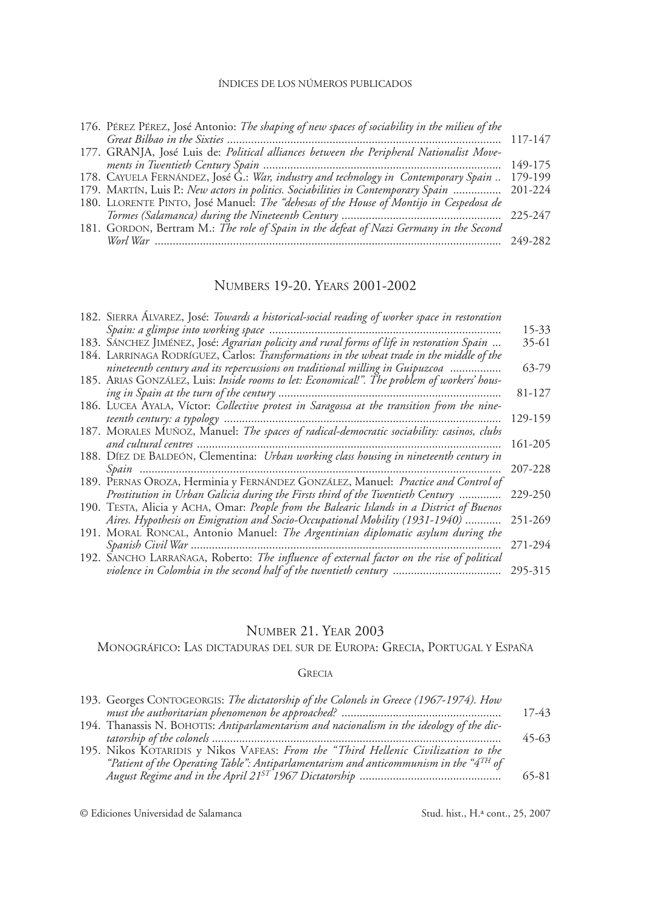| 176. PÉREZ PÉREZ, José Antonio: The shaping of new spaces of sociability in the milieu of the |         |
|-----------------------------------------------------------------------------------------------|---------|
|                                                                                               | 117-147 |
| 177. GRANJA, José Luis de: Political alliances between the Peripheral Nationalist Move-       |         |
|                                                                                               | 149-175 |
| 178. CAYUELA FERNÁNDEZ, José G.: War, industry and technology in Contemporary Spain           | 179-199 |
| 179. MARTIN, Luis P.: New actors in politics. Sociabilities in Contemporary Spain  201-224    |         |
| 180. LLORENTE PINTO, José Manuel: The "dehesas of the House of Montijo in Cespedosa de        |         |
|                                                                                               |         |
| 181. GORDON, Bertram M.: The role of Spain in the defeat of Nazi Germany in the Second        |         |
|                                                                                               | 249-282 |

# Numbers 19-20. Years 2001-2002

| 182. SIERRA ALVAREZ, José: Towards a historical-social reading of worker space in restoration |         |
|-----------------------------------------------------------------------------------------------|---------|
|                                                                                               | 15-33   |
| 183. SANCHEZ JIMÉNEZ, José: Agrarian policity and rural forms of life in restoration Spain    | 35-61   |
| 184. LARRINAGA RODRÍGUEZ, Carlos: Transformations in the wheat trade in the middle of the     |         |
| nineteenth century and its repercussions on traditional milling in Guipuzcoa                  | 63-79   |
| 185. ARIAS GONZÁLEZ, Luis: Inside rooms to let: Economical!". The problem of workers' hous-   |         |
|                                                                                               | 81-127  |
| 186. LUCEA AYALA, Víctor: Collective protest in Saragossa at the transition from the nine-    |         |
|                                                                                               | 129-159 |
| 187. MORALES MUÑOZ, Manuel: The spaces of radical-democratic sociability: casinos, clubs      |         |
|                                                                                               | 161-205 |
| 188. DIEZ DE BALDEÓN, Clementina: Urban working class housing in nineteenth century in        |         |
|                                                                                               | 207-228 |
| 189. PERNAS OROZA, Herminia y FERNÁNDEZ GONZÁLEZ, Manuel: Practice and Control of             |         |
| Prostitution in Urban Galicia during the Firsts third of the Twentieth Century                | 229-250 |
| 190. TESTA, Alicia y ACHA, Omar: People from the Balearic Islands in a District of Buenos     |         |
| Aires. Hypothesis on Emigration and Socio-Occupational Mobility (1931-1940)                   | 251-269 |
| 191. MORAL RONCAL, Antonio Manuel: The Argentinian diplomatic asylum during the               |         |
|                                                                                               | 271-294 |
| 192. SANCHO LARRAÑAGA, Roberto: The influence of external factor on the rise of political     |         |
| violence in Colombia in the second half of the twentieth century                              | 295-315 |

### Number 21. Year 2003

### Monográfico: Las dictaduras del sur de Europa: Grecia, Portugal y España

### **GRECIA**

| 193. Georges CONTOGEORGIS: The dictatorship of the Colonels in Greece (1967-1974). How      |         |
|---------------------------------------------------------------------------------------------|---------|
|                                                                                             | $17-43$ |
| 194. Thanassis N. BOHOTIS: Antiparlamentarism and nacionalism in the ideology of the dic-   |         |
|                                                                                             | $45-63$ |
| 195. Nikos KOTARIDIS y Nikos VAFEAS: From the "Third Hellenic Civilization to the           |         |
| "Patient of the Operating Table": Antiparlamentarism and anticommunism in the " $4^{TH}$ of |         |
|                                                                                             | 65-81   |
|                                                                                             |         |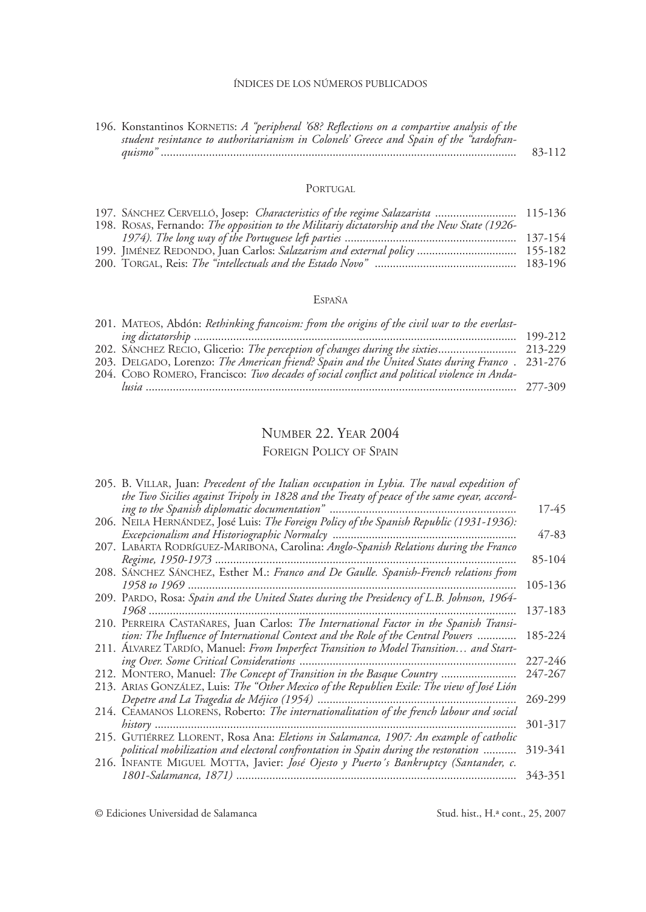| 196. Konstantinos KORNETIS: A "peripheral '68? Reflections on a compartive analysis of the |        |
|--------------------------------------------------------------------------------------------|--------|
| student resintance to authoritarianism in Colonels' Greece and Spain of the "tardofran-    |        |
| auismo'                                                                                    | 83-112 |

#### PORTUGAL

| 197. SANCHEZ CERVELLÓ, Josep: Characteristics of the regime Salazarista  115-136            |  |
|---------------------------------------------------------------------------------------------|--|
| 198. ROSAS, Fernando: The opposition to the Militariy dictatorship and the New State (1926- |  |
|                                                                                             |  |
| 199. JIMÉNEZ REDONDO, Juan Carlos: Salazarism and external policy  155-182                  |  |
|                                                                                             |  |

### España

| 201. MATEOS, Abdón: Rethinking francoism: from the origins of the civil war to the everlast-   |  |
|------------------------------------------------------------------------------------------------|--|
|                                                                                                |  |
|                                                                                                |  |
| 203. DELGADO, Lorenzo: The American friend? Spain and the United States during Franco. 231-276 |  |
| 204. COBO ROMERO, Francisco: Two decades of social conflict and political violence in Anda-    |  |
|                                                                                                |  |

# Number 22. Year 2004

### FOREIGN POLICY OF SPAIN

| 205. B. VILLAR, Juan: <i>Precedent of the Italian occupation in Lybia. The naval expedition of</i> |         |
|----------------------------------------------------------------------------------------------------|---------|
| the Two Sicilies against Tripoly in 1828 and the Treaty of peace of the same eyear, accord-        |         |
| ing to the Spanish diplomatic documentation"                                                       | 17-45   |
| 206. NEILA HERNÁNDEZ, José Luis: <i>The Foreign Policy of the Spanish Republic</i> (1931-1936):    |         |
|                                                                                                    | 47-83   |
| 207. LABARTA RODRÍGUEZ-MARIBONA, Carolina: Anglo-Spanish Relations during the Franco               |         |
| Regime, 1950-1973                                                                                  | 85-104  |
| 208. SANCHEZ SANCHEZ, Esther M.: Franco and De Gaulle. Spanish-French relations from               |         |
| 1958 to 1969                                                                                       | 105-136 |
| 209. PARDO, Rosa: Spain and the United States during the Presidency of L.B. Johnson, 1964-         |         |
| 1968                                                                                               | 137-183 |
| 210. PERREIRA CASTAÑARES, Juan Carlos: The International Factor in the Spanish Transi-             |         |
| tion: The Influence of International Context and the Role of the Central Powers                    | 185-224 |
| 211. ALVAREZ TARDIO, Manuel: From Imperfect Transition to Model Transition and Start-              |         |
|                                                                                                    | 227-246 |
| 212. MONTERO, Manuel: The Concept of Transition in the Basque Country                              | 247-267 |
| 213. ARIAS GONZÁLEZ, Luis: The "Other Mexico of the Republien Exile: The view of José Lión         |         |
| Depetre and La Tragedia de Méjico (1954)                                                           | 269-299 |
| 214. CEAMANOS LLORENS, Roberto: The internationalitation of the french labour and social           |         |
| $history$                                                                                          | 301-317 |
| 215. GUTIÉRREZ LLORENT, Rosa Ana: Eletions in Salamanca, 1907: An example of catholic              |         |
| political mobilization and electoral confrontation in Spain during the restoration                 | 319-341 |
| 216. INFANTE MIGUEL MOTTA, Javier: José Ojesto y Puerto's Bankruptcy (Santander, c.                |         |
|                                                                                                    | 343-351 |
|                                                                                                    |         |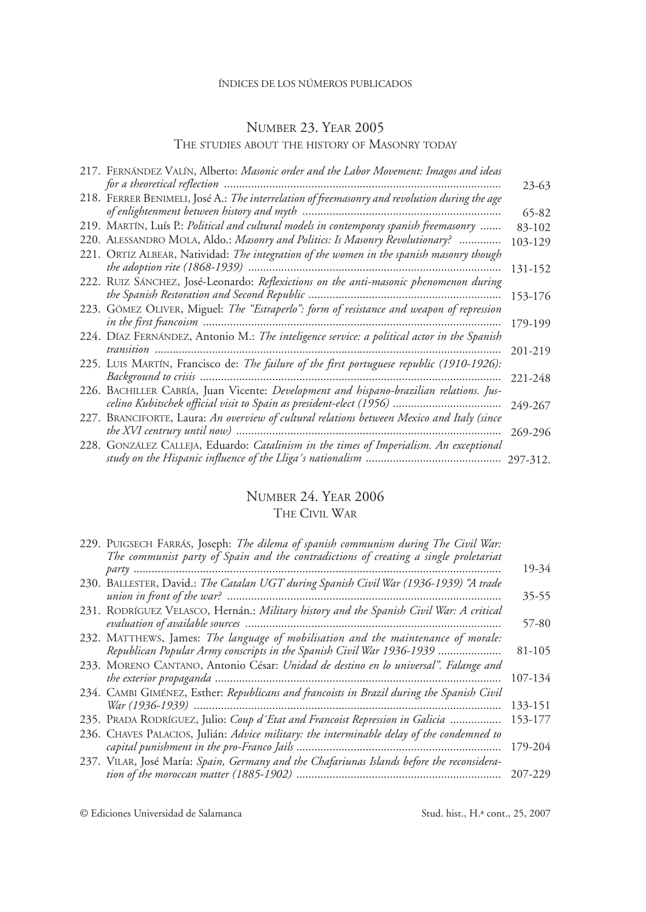# Number 23. Year 2005

### The studies about the history of Masonry today

| 217. FERNÁNDEZ VALÍN, Alberto: Masonic order and the Labor Movement: Imagos and ideas                                                                  | 23-63   |
|--------------------------------------------------------------------------------------------------------------------------------------------------------|---------|
| 218. FERRER BENIMELI, José A.: The interrelation of freemasonry and revolution during the age<br>of enlightenment between history and myth             | 65-82   |
| 219. MARTÍN, Luís P.: Political and cultural models in contemporay spanish freemasonry                                                                 | 83-102  |
| 220. ALESSANDRO MOLA, Aldo.: Masonry and Politics: Is Masonry Revolutionary?                                                                           | 103-129 |
| 221. ORTIZ ALBEAR, Natividad: The integration of the women in the spanish masonry though                                                               | 131-152 |
| 222. RUIZ SÁNCHEZ, José-Leonardo: Reflexictions on the anti-masonic phenomenon during                                                                  | 153-176 |
| 223. GÓMEZ OLIVER, Miguel: The "Estraperlo": form of resistance and weapon of repression                                                               | 179-199 |
| 224. DÍAZ FERNÁNDEZ, Antonio M.: The inteligence service: a political actor in the Spanish                                                             | 201-219 |
| 225. LUIS MARTÍN, Francisco de: The failure of the first portuguese republic (1910-1926):                                                              | 221-248 |
| 226. BACHILLER CABRÍA, Juan Vicente: Development and hispano-brazilian relations. Jus-                                                                 | 249-267 |
| 227. BRANCIFORTE, Laura: An overview of cultural relations between Mexico and Italy (since<br>the XVI centrury until now) ………………………………………………………………………… | 269-296 |
| 228. GONZÁLEZ CALLEJA, Eduardo: Catalinism in the times of Imperialism. An exceptional                                                                 |         |

# Number 24. Year 2006 The Civil War

| 229. PUIGSECH FARRAS, Joseph: The dilema of spanish communism during The Civil War:<br>The communist party of Spain and the contradictions of creating a single proletariat |         |
|-----------------------------------------------------------------------------------------------------------------------------------------------------------------------------|---------|
|                                                                                                                                                                             | 19-34   |
| 230. BALLESTER, David.: The Catalan UGT during Spanish Civil War (1936-1939) "A trade                                                                                       | 35-55   |
| 231. RODRÍGUEZ VELASCO, Hernán.: Military history and the Spanish Civil War: A critical                                                                                     | 57-80   |
| 232. MATTHEWS, James: The language of mobilisation and the maintenance of morale:<br>Republican Popular Army conscripts in the Spanish Civil War 1936-1939                  | 81-105  |
| 233. MORENO CANTANO, Antonio César: Unidad de destino en lo universal". Falange and                                                                                         | 107-134 |
| 234. CAMBI GIMÉNEZ, Esther: Republicans and francoists in Brazil during the Spanish Civil                                                                                   | 133-151 |
| 235. PRADA RODRÍGUEZ, Julio: Coup d'Etat and Francoist Repression in Galicia                                                                                                | 153-177 |
| 236. CHAVES PALACIOS, Julián: Advice military: the interminable delay of the condemned to                                                                                   | 179-204 |
| 237. VILAR, José María: Spain, Germany and the Chafariunas Islands before the reconsidera-                                                                                  | 207-229 |